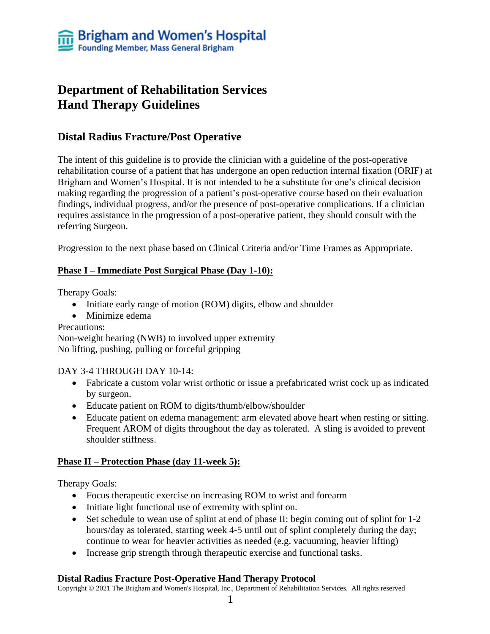# **Department of Rehabilitation Services Hand Therapy Guidelines**

### **Distal Radius Fracture/Post Operative**

The intent of this guideline is to provide the clinician with a guideline of the post-operative rehabilitation course of a patient that has undergone an open reduction internal fixation (ORIF) at Brigham and Women's Hospital. It is not intended to be a substitute for one's clinical decision making regarding the progression of a patient's post-operative course based on their evaluation findings, individual progress, and/or the presence of post-operative complications. If a clinician requires assistance in the progression of a post-operative patient, they should consult with the referring Surgeon.

Progression to the next phase based on Clinical Criteria and/or Time Frames as Appropriate.

#### **Phase I – Immediate Post Surgical Phase (Day 1-10):**

Therapy Goals:

- Initiate early range of motion (ROM) digits, elbow and shoulder
- Minimize edema

#### Precautions:

Non-weight bearing (NWB) to involved upper extremity No lifting, pushing, pulling or forceful gripping

#### DAY 3-4 THROUGH DAY 10-14:

- Fabricate a custom volar wrist orthotic or issue a prefabricated wrist cock up as indicated by surgeon.
- Educate patient on ROM to digits/thumb/elbow/shoulder
- Educate patient on edema management: arm elevated above heart when resting or sitting. Frequent AROM of digits throughout the day as tolerated. A sling is avoided to prevent shoulder stiffness.

#### **Phase II – Protection Phase (day 11-week 5):**

Therapy Goals:

- Focus therapeutic exercise on increasing ROM to wrist and forearm
- Initiate light functional use of extremity with splint on.
- Set schedule to wean use of splint at end of phase II: begin coming out of splint for 1-2 hours/day as tolerated, starting week 4-5 until out of splint completely during the day; continue to wear for heavier activities as needed (e.g. vacuuming, heavier lifting)
- Increase grip strength through therapeutic exercise and functional tasks.

#### **Distal Radius Fracture Post-Operative Hand Therapy Protocol**

Copyright © 2021 The Brigham and Women's Hospital, Inc., Department of Rehabilitation Services. All rights reserved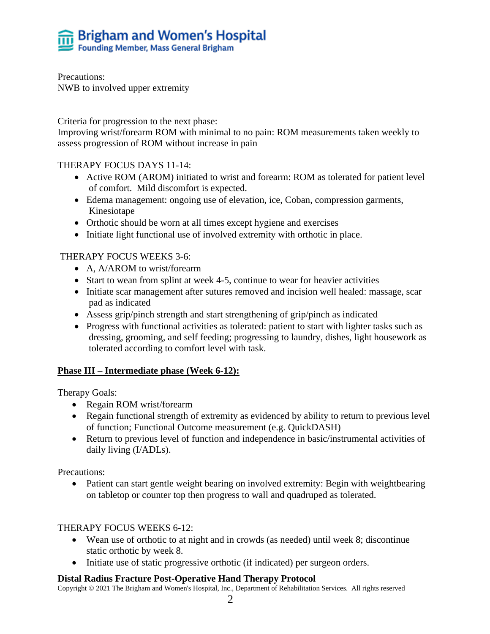

Precautions: NWB to involved upper extremity

Criteria for progression to the next phase:

Improving wrist/forearm ROM with minimal to no pain: ROM measurements taken weekly to assess progression of ROM without increase in pain

#### THERAPY FOCUS DAYS 11-14:

- Active ROM (AROM) initiated to wrist and forearm: ROM as tolerated for patient level of comfort. Mild discomfort is expected.
- Edema management: ongoing use of elevation, ice, Coban, compression garments, Kinesiotape
- Orthotic should be worn at all times except hygiene and exercises
- Initiate light functional use of involved extremity with orthotic in place.

#### THERAPY FOCUS WEEKS 3-6:

- A, A/AROM to wrist/forearm
- Start to wean from splint at week 4-5, continue to wear for heavier activities
- Initiate scar management after sutures removed and incision well healed: massage, scar pad as indicated
- Assess grip/pinch strength and start strengthening of grip/pinch as indicated
- Progress with functional activities as tolerated: patient to start with lighter tasks such as dressing, grooming, and self feeding; progressing to laundry, dishes, light housework as tolerated according to comfort level with task.

#### **Phase III – Intermediate phase (Week 6-12):**

Therapy Goals:

- Regain ROM wrist/forearm
- Regain functional strength of extremity as evidenced by ability to return to previous level of function; Functional Outcome measurement (e.g. QuickDASH)
- Return to previous level of function and independence in basic/instrumental activities of daily living (I/ADLs).

Precautions:

Patient can start gentle weight bearing on involved extremity: Begin with weightbearing on tabletop or counter top then progress to wall and quadruped as tolerated.

#### THERAPY FOCUS WEEKS 6-12:

- Wean use of orthotic to at night and in crowds (as needed) until week 8; discontinue static orthotic by week 8.
- Initiate use of static progressive orthotic (if indicated) per surgeon orders.

#### **Distal Radius Fracture Post-Operative Hand Therapy Protocol**

Copyright © 2021 The Brigham and Women's Hospital, Inc., Department of Rehabilitation Services. All rights reserved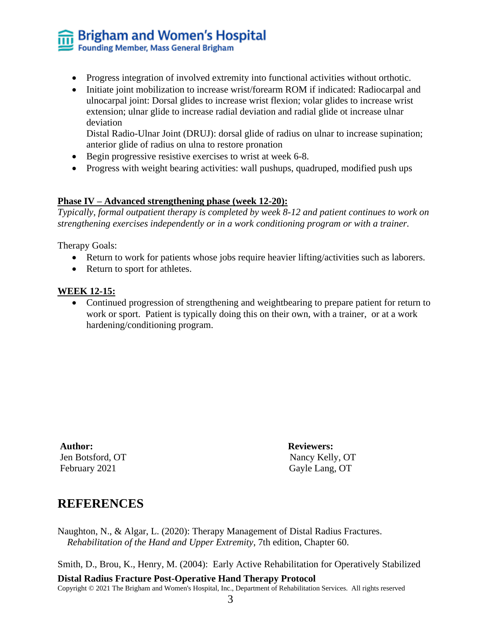# **Brigham and Women's Hospital**<br>Founding Member, Mass General Brigham

- Progress integration of involved extremity into functional activities without orthotic.
- Initiate joint mobilization to increase wrist/forearm ROM if indicated: Radiocarpal and ulnocarpal joint: Dorsal glides to increase wrist flexion; volar glides to increase wrist extension; ulnar glide to increase radial deviation and radial glide ot increase ulnar deviation

Distal Radio-Ulnar Joint (DRUJ): dorsal glide of radius on ulnar to increase supination; anterior glide of radius on ulna to restore pronation

- Begin progressive resistive exercises to wrist at week 6-8.
- Progress with weight bearing activities: wall pushups, quadruped, modified push ups

#### **Phase IV – Advanced strengthening phase (week 12-20):**

*Typically, formal outpatient therapy is completed by week 8-12 and patient continues to work on strengthening exercises independently or in a work conditioning program or with a trainer.*

Therapy Goals:

- Return to work for patients whose jobs require heavier lifting/activities such as laborers.
- Return to sport for athletes.

#### **WEEK 12-15:**

• Continued progression of strengthening and weightbearing to prepare patient for return to work or sport. Patient is typically doing this on their own, with a trainer, or at a work hardening/conditioning program.

**Author: Reviewers:** February 2021 Gayle Lang, OT

Jen Botsford, OT Nancy Kelly, OT

## **REFERENCES**

Naughton, N., & Algar, L. (2020): Therapy Management of Distal Radius Fractures. *Rehabilitation of the Hand and Upper Extremity*, 7th edition, Chapter 60.

Smith, D., Brou, K., Henry, M. (2004): Early Active Rehabilitation for Operatively Stabilized

#### **Distal Radius Fracture Post-Operative Hand Therapy Protocol**

Copyright © 2021 The Brigham and Women's Hospital, Inc., Department of Rehabilitation Services. All rights reserved